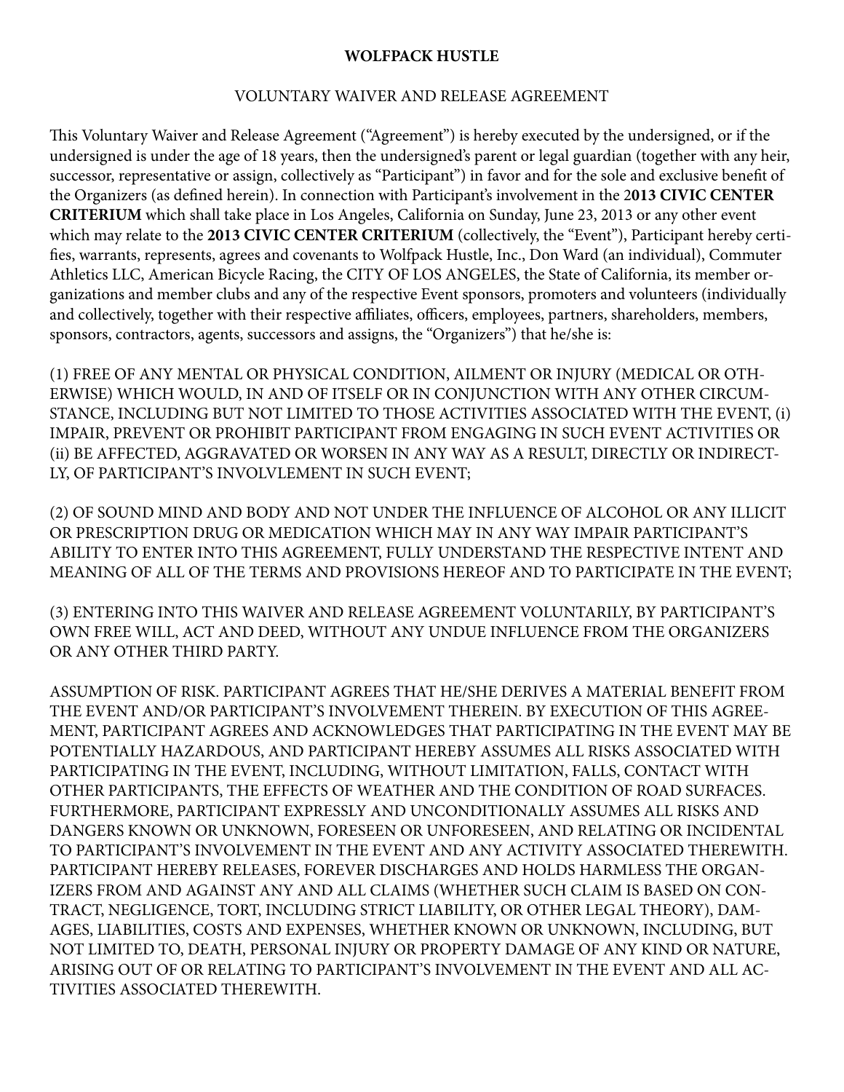## **WOLFPACK HUSTLE**

## VOLUNTARY WAIVER AND RELEASE AGREEMENT

This Voluntary Waiver and Release Agreement ("Agreement") is hereby executed by the undersigned, or if the undersigned is under the age of 18 years, then the undersigned's parent or legal guardian (together with any heir, successor, representative or assign, collectively as "Participant") in favor and for the sole and exclusive benefit of the Organizers (as defined herein). In connection with Participant's involvement in the 2**013 CIVIC CENTER CRITERIUM** which shall take place in Los Angeles, California on Sunday, June 23, 2013 or any other event which may relate to the 2013 CIVIC CENTER CRITERIUM (collectively, the "Event"), Participant hereby certifies, warrants, represents, agrees and covenants to Wolfpack Hustle, Inc., Don Ward (an individual), Commuter Athletics LLC, American Bicycle Racing, the CITY OF LOS ANGELES, the State of California, its member organizations and member clubs and any of the respective Event sponsors, promoters and volunteers (individually and collectively, together with their respective affiliates, officers, employees, partners, shareholders, members, sponsors, contractors, agents, successors and assigns, the "Organizers") that he/she is:

(1) FREE OF ANY MENTAL OR PHYSICAL CONDITION, AILMENT OR INJURY (MEDICAL OR OTH-ERWISE) WHICH WOULD, IN AND OF ITSELF OR IN CONJUNCTION WITH ANY OTHER CIRCUM-STANCE, INCLUDING BUT NOT LIMITED TO THOSE ACTIVITIES ASSOCIATED WITH THE EVENT, (i) IMPAIR, PREVENT OR PROHIBIT PARTICIPANT FROM ENGAGING IN SUCH EVENT ACTIVITIES OR (ii) BE AFFECTED, AGGRAVATED OR WORSEN IN ANY WAY AS A RESULT, DIRECTLY OR INDIRECT-LY, OF PARTICIPANT'S INVOLVLEMENT IN SUCH EVENT;

(2) OF SOUND MIND AND BODY AND NOT UNDER THE INFLUENCE OF ALCOHOL OR ANY ILLICIT OR PRESCRIPTION DRUG OR MEDICATION WHICH MAY IN ANY WAY IMPAIR PARTICIPANT'S ABILITY TO ENTER INTO THIS AGREEMENT, FULLY UNDERSTAND THE RESPECTIVE INTENT AND MEANING OF ALL OF THE TERMS AND PROVISIONS HEREOF AND TO PARTICIPATE IN THE EVENT;

(3) ENTERING INTO THIS WAIVER AND RELEASE AGREEMENT VOLUNTARILY, BY PARTICIPANT'S OWN FREE WILL, ACT AND DEED, WITHOUT ANY UNDUE INFLUENCE FROM THE ORGANIZERS OR ANY OTHER THIRD PARTY.

ASSUMPTION OF RISK. PARTICIPANT AGREES THAT HE/SHE DERIVES A MATERIAL BENEFIT FROM THE EVENT AND/OR PARTICIPANT'S INVOLVEMENT THEREIN. BY EXECUTION OF THIS AGREE-MENT, PARTICIPANT AGREES AND ACKNOWLEDGES THAT PARTICIPATING IN THE EVENT MAY BE POTENTIALLY HAZARDOUS, AND PARTICIPANT HEREBY ASSUMES ALL RISKS ASSOCIATED WITH PARTICIPATING IN THE EVENT, INCLUDING, WITHOUT LIMITATION, FALLS, CONTACT WITH OTHER PARTICIPANTS, THE EFFECTS OF WEATHER AND THE CONDITION OF ROAD SURFACES. FURTHERMORE, PARTICIPANT EXPRESSLY AND UNCONDITIONALLY ASSUMES ALL RISKS AND DANGERS KNOWN OR UNKNOWN, FORESEEN OR UNFORESEEN, AND RELATING OR INCIDENTAL TO PARTICIPANT'S INVOLVEMENT IN THE EVENT AND ANY ACTIVITY ASSOCIATED THEREWITH. PARTICIPANT HEREBY RELEASES, FOREVER DISCHARGES AND HOLDS HARMLESS THE ORGAN-IZERS FROM AND AGAINST ANY AND ALL CLAIMS (WHETHER SUCH CLAIM IS BASED ON CON-TRACT, NEGLIGENCE, TORT, INCLUDING STRICT LIABILITY, OR OTHER LEGAL THEORY), DAM-AGES, LIABILITIES, COSTS AND EXPENSES, WHETHER KNOWN OR UNKNOWN, INCLUDING, BUT NOT LIMITED TO, DEATH, PERSONAL INJURY OR PROPERTY DAMAGE OF ANY KIND OR NATURE, ARISING OUT OF OR RELATING TO PARTICIPANT'S INVOLVEMENT IN THE EVENT AND ALL AC-TIVITIES ASSOCIATED THEREWITH.